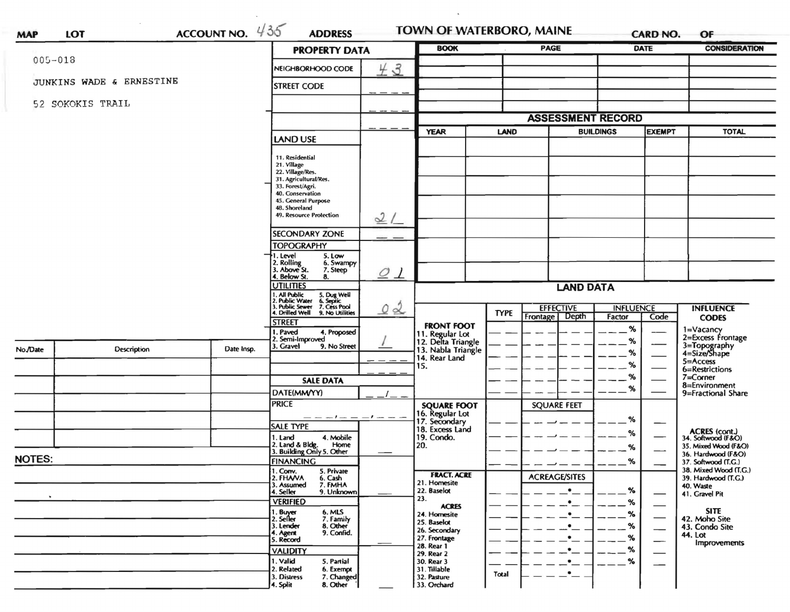|                          |                    |            |                                                                              | <b>PROPERTY DATA</b>     |                                                     | <b>PAGE</b> |                          |                  | DATE                          | <b>CONSIDERATION</b>                         |
|--------------------------|--------------------|------------|------------------------------------------------------------------------------|--------------------------|-----------------------------------------------------|-------------|--------------------------|------------------|-------------------------------|----------------------------------------------|
| $005 - 018$              |                    |            | NEIGHBORHOOD CODE                                                            | 43                       |                                                     |             |                          |                  |                               |                                              |
| JUNKINS WADE & ERNESTINE |                    |            | <b>STREET CODE</b>                                                           |                          |                                                     |             |                          |                  |                               |                                              |
|                          | 52 SOKOKIS TRAIL   |            |                                                                              |                          |                                                     |             |                          |                  |                               |                                              |
|                          |                    |            |                                                                              |                          |                                                     |             | <b>ASSESSMENT RECORD</b> |                  |                               |                                              |
|                          |                    |            |                                                                              |                          | <b>YEAR</b>                                         | <b>LAND</b> |                          | <b>BUILDINGS</b> | <b>EXEMPT</b>                 | <b>TOTAL</b>                                 |
|                          |                    |            | <b>LAND USE</b>                                                              |                          |                                                     |             |                          |                  |                               |                                              |
|                          |                    |            | 11. Residential                                                              |                          |                                                     |             |                          |                  |                               |                                              |
|                          |                    |            | 21. Village<br>22. Village/Res.                                              |                          |                                                     |             |                          |                  |                               |                                              |
|                          |                    |            | 31. Agricultural/Res.<br>33. Forest/Agri.                                    |                          |                                                     |             |                          |                  |                               |                                              |
|                          |                    |            | 40. Conservation<br>45. General Purpose                                      |                          |                                                     |             |                          |                  |                               |                                              |
|                          |                    |            | 48. Shoreland<br><b>49. Resource Protection</b>                              |                          |                                                     |             |                          |                  |                               |                                              |
|                          |                    |            |                                                                              | 2/                       |                                                     |             |                          |                  |                               |                                              |
|                          |                    |            | <b>SECONDARY ZONE</b>                                                        |                          |                                                     |             |                          |                  |                               |                                              |
|                          |                    |            | <b>TOPOGRAPHY</b>                                                            |                          |                                                     |             |                          |                  |                               |                                              |
|                          |                    |            | . Level<br>5. Low<br>2. Rolling<br>3. Above St.<br>6. Swampy<br>7. Steep     | $\mathcal{O}$<br>$\perp$ |                                                     |             |                          |                  |                               |                                              |
|                          |                    |            | 4. Below St.<br>8.<br><b>UTILITIES</b>                                       |                          | <b>LAND DATA</b>                                    |             |                          |                  |                               |                                              |
|                          |                    |            | 1. All Public<br>2. Public Water<br>5. Dug Well<br>6. Septic<br>7. Cess Pool |                          |                                                     |             |                          |                  |                               |                                              |
|                          |                    |            | . Public Sewer<br>4. Drilled Well<br>9. No Utilities                         | 02                       |                                                     | <b>TYPE</b> | <b>EFFECTIVE</b>         | <b>INFLUENCE</b> |                               | <b>INFLUENCE</b>                             |
|                          |                    |            | <b>STREET</b>                                                                |                          | <b>FRONT FOOT</b>                                   |             | Depth<br>Frontage        | Factor           | Code                          | <b>CODES</b>                                 |
|                          |                    |            | 1. Paved<br>4. Proposed<br>2. Semi-Improved                                  |                          | 11. Regular Lot<br>12. Delta Triangle               |             |                          | %                |                               | 1=Vacancy<br>2=Excess Frontage               |
| No./Date                 | <b>Description</b> | Date Insp. | 3. Gravel<br>9. No Street                                                    |                          | 13. Nabla Triangle                                  |             |                          | %<br>%           |                               | 3=Topography<br>4=Size/Shape                 |
|                          |                    |            |                                                                              |                          | 14. Rear Land                                       |             |                          | %                |                               | $5 =$ Access                                 |
|                          |                    |            |                                                                              |                          | 15.                                                 |             |                          | %                |                               | 6=Restrictions<br>7=Corner                   |
|                          |                    |            | <b>SALE DATA</b>                                                             |                          |                                                     |             |                          | %                |                               | 8=Environment                                |
|                          |                    |            | DATE(MM/YY)                                                                  |                          |                                                     |             |                          |                  |                               | 9=Fractional Share                           |
|                          |                    |            | <b>PRICE</b>                                                                 |                          | <b>SQUARE FOOT</b>                                  |             | <b>SQUARE FEET</b>       |                  |                               |                                              |
|                          |                    |            | <b>SALE TYPE</b>                                                             | $-1$ $  -$               | 16. Regular Lot<br>17. Secondary<br>18. Excess Land |             |                          | ℅                |                               |                                              |
|                          |                    |            | 1. Land<br>4. Mobile                                                         |                          | 19. Condo.                                          |             |                          | %                |                               | ACRES (cont.)<br>34. Softwood (F&O)          |
|                          |                    |            | 2. Land & Bldg.<br>Home<br>3. Building Only 5. Other                         |                          | 20.                                                 |             |                          | %                | —                             | 35. Mixed Wood (F&O)<br>36. Hardwood (F&O)   |
| <b>NOTES:</b>            |                    |            | <b>FINANCING</b>                                                             |                          |                                                     |             |                          | %                |                               | 37. Softwood (T.G.)                          |
|                          |                    |            | 1. Conv.<br>5. Private<br>2. FHANA<br>6. Cash                                |                          | <b>FRACT. ACRE</b>                                  |             | <b>ACREAGE/SITES</b>     |                  |                               | 38. Mixed Wood (T.G.)<br>39. Hardwood (T.G.) |
|                          |                    |            | 7. FMHA<br>3. Assumed<br>4. Seller<br>9. Unknown                             |                          | 21. Homesite<br>22. Baselot                         |             |                          | %                |                               | 40. Waste                                    |
|                          |                    |            | <b>VERIFIED</b>                                                              |                          | 23.                                                 |             | $\bullet$                | %                | —                             | 41. Gravel Pit                               |
|                          |                    |            | 1. Buyer<br>2. Seller<br>6. MLS                                              |                          | <b>ACRES</b><br>24. Homesite                        |             |                          | %                |                               | <b>SITE</b>                                  |
|                          |                    |            | 7. Family<br>8. Other<br>9. Confid.<br>3. Lender                             |                          | 25. Baselot<br>26. Secondary                        |             |                          | %                | $\overbrace{\phantom{aaaaa}}$ | 42. Moho Site<br>43. Condo Site              |
|                          |                    |            | 4. Agent<br>5. Record                                                        |                          | 27. Frontage                                        |             |                          | %                | —                             | 44. Lot                                      |
|                          |                    |            | <b>VALIDITY</b>                                                              |                          | 28. Rear 1<br>29. Rear 2                            |             |                          | %                |                               | Improvements                                 |
|                          |                    |            | 1. Valid<br>5. Partial                                                       |                          | 30. Rear 3                                          |             |                          | %                | —                             |                                              |
|                          |                    |            | 2. Related<br>6. Exempt<br>7. Changed<br>3. Distress                         |                          | 31. Tillable<br>32. Pasture                         | Total       |                          |                  |                               |                                              |
|                          |                    |            | 8. Other<br>4. Split                                                         |                          | 33. Orchard                                         |             |                          |                  |                               |                                              |

 $\mathcal{L}(\mathcal{A})$  .